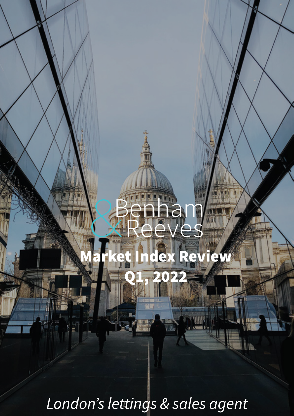# et Index Review

 $\bigcap_{i=1}^n P_i$ 

hal

es

London's lettings & sales agent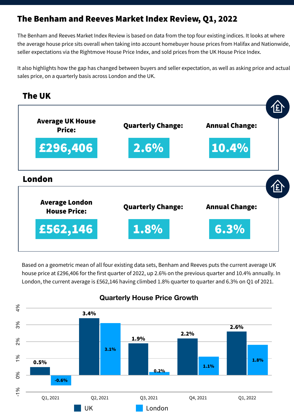## The Benham and Reeves Market Index Review, Q1, 2022

The Benham and Reeves Market Index Review is based on data from the top four existing indices. It looks at where the average house price sits overall when taking into account homebuyer house prices from Halifax and Nationwide, seller expectations via the Rightmove House Price Index, and sold prices from the UK House Price Index.

It also highlights how the gap has changed between buyers and seller expectation, as well as asking price and actual sales price, on a quarterly basis across London and the UK.





Based on a geometric mean of all four existing data sets, Benham and Reeves puts the current average UK house price at £296,406 for the first quarter of 2022, up 2.6% on the previous quarter and 10.4% annually. In London, the current average is £562,146 having climbed 1.8% quarter to quarter and 6.3% on Q1 of 2021.



### **Quarterly House Price Growth**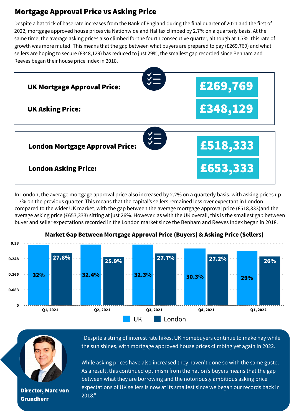## Mortgage Approval Price vs Asking Price

Despite a hat trick of base rate increases from the Bank of England during the final quarter of 2021 and the first of 2022, mortgage approved house prices via Nationwide and Halifax climbed by 2.7% on a quarterly basis. At the same time, the average asking prices also climbed for the fourth consecutive quarter, although at 1.7%, this rate of growth was more muted. This means that the gap between what buyers are prepared to pay (£269,769) and what sellers are hoping to secure (£348,129) has reduced to just 29%, the smallest gap recorded since Benham and Reeves began their house price index in 2018.



In London, the average mortgage approval price also increased by 2.2% on a quarterly basis, with asking prices up 1.3% on the previous quarter. This means that the capital's sellers remained less over expectant in London compared to the wider UK market, with the gap between the average mortgage approval price (£518,333)and the average asking price (£653,333) sitting at just 26%. However, as with the UK overall, this is the smallest gap between buyer and seller expectations recorded in the London market since the Benham and Reeves Index began in 2018.



#### Market Gap Between Mortgage Approval Price (Buyers) & Asking Price (Sellers)



**Director, Marc von**  $\frac{expect}{2018."}$ Grundherr

"Despite a string of interest rate hikes, UK homebuyers continue to make hay while the sun shines, with mortgage approved house prices climbing yet again in 2022.

While asking prices have also increased they haven't done so with the same gusto. As a result, this continued optimism from the nation's buyers means that the gap between what they are borrowing and the notoriously ambitious asking price expectations of UK sellers is now at its smallest since we began our records back in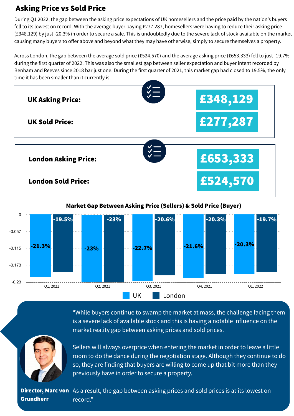## Asking Price vs Sold Price

During Q1 2022, the gap between the asking price expectations of UK homesellers and the price paid by the nation's buyers fell to its lowest on record. With the average buyer paying £277,287, homesellers were having to reduce their asking price (£348.129) by just -20.3% in order to secure a sale. This is undoubtedly due to the severe lack of stock available on the market causing many buyers to offer above and beyond what they may have otherwise, simply to secure themselves a property.

Across London, the gap between the average sold price (£524,570) and the average asking price (£653,333) fell to just -19.7% during the first quarter of 2022. This was also the smallest gap between seller expectation and buyer intent recorded by Benham and Reeves since 2018 bar just one. During the first quarter of 2021, this market gap had closed to 19.5%, the only time it has been smaller than it currently is.



Market Gap Between Asking Price (Sellers) & Sold Price (Buyer)





"While buyers continue to swamp the market at mass, the challenge facing them is a severe lack of available stock and this is having a notable influence on the market reality gap between asking prices and sold prices.

Sellers will always overprice when entering the market in order to leave a little room to do the dance during the negotiation stage. Although they continue to do so, they are finding that buyers are willing to come up that bit more than they previously have in order to secure a property.

**Director, Marc von** As a result, the gap between asking prices and sold prices is at its lowest on Grundherr record."